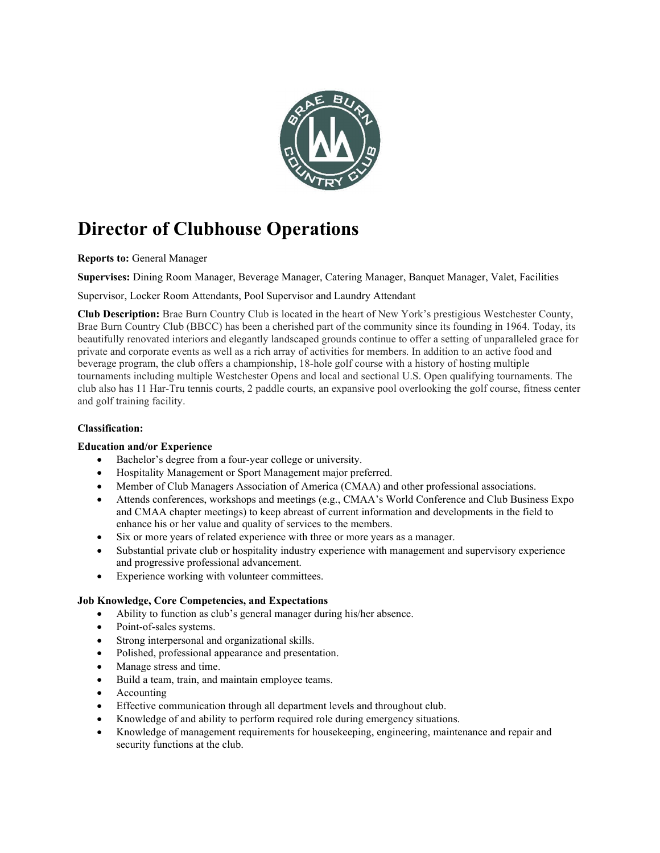

# Director of Clubhouse Operations

Reports to: General Manager

Supervises: Dining Room Manager, Beverage Manager, Catering Manager, Banquet Manager, Valet, Facilities

Supervisor, Locker Room Attendants, Pool Supervisor and Laundry Attendant

Club Description: Brae Burn Country Club is located in the heart of New York's prestigious Westchester County, Brae Burn Country Club (BBCC) has been a cherished part of the community since its founding in 1964. Today, its beautifully renovated interiors and elegantly landscaped grounds continue to offer a setting of unparalleled grace for private and corporate events as well as a rich array of activities for members. In addition to an active food and beverage program, the club offers a championship, 18-hole golf course with a history of hosting multiple tournaments including multiple Westchester Opens and local and sectional U.S. Open qualifying tournaments. The club also has 11 Har-Tru tennis courts, 2 paddle courts, an expansive pool overlooking the golf course, fitness center and golf training facility.

#### Classification:

#### Education and/or Experience

- Bachelor's degree from a four-year college or university.
- Hospitality Management or Sport Management major preferred.
- Member of Club Managers Association of America (CMAA) and other professional associations.
- Attends conferences, workshops and meetings (e.g., CMAA's World Conference and Club Business Expo and CMAA chapter meetings) to keep abreast of current information and developments in the field to enhance his or her value and quality of services to the members.
- Six or more years of related experience with three or more years as a manager.
- Substantial private club or hospitality industry experience with management and supervisory experience and progressive professional advancement.
- Experience working with volunteer committees.

#### Job Knowledge, Core Competencies, and Expectations

- Ability to function as club's general manager during his/her absence.
- Point-of-sales systems.
- Strong interpersonal and organizational skills.
- Polished, professional appearance and presentation.
- Manage stress and time.
- Build a team, train, and maintain employee teams.
- Accounting
- Effective communication through all department levels and throughout club.
- Knowledge of and ability to perform required role during emergency situations.
- Knowledge of management requirements for housekeeping, engineering, maintenance and repair and security functions at the club.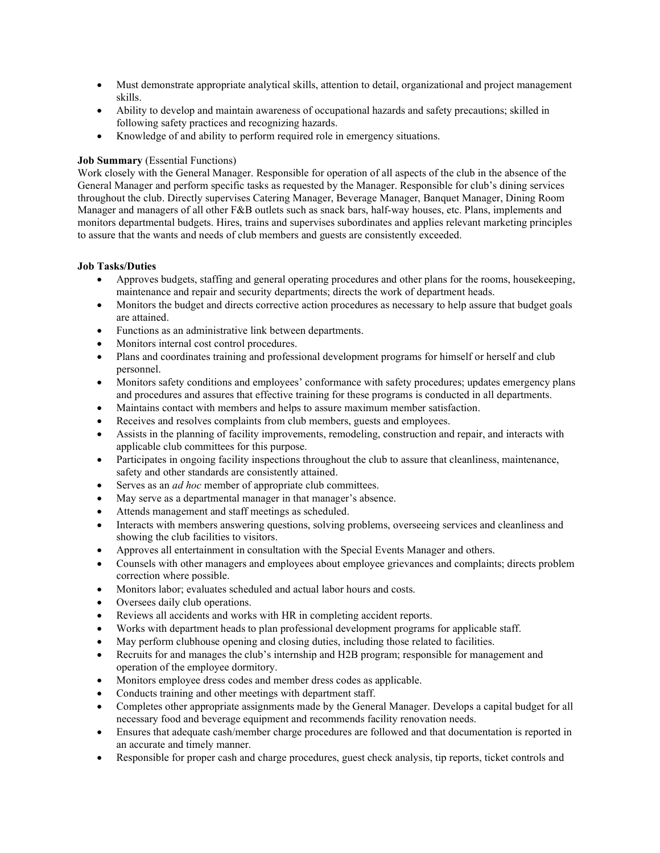- Must demonstrate appropriate analytical skills, attention to detail, organizational and project management skills.
- Ability to develop and maintain awareness of occupational hazards and safety precautions; skilled in following safety practices and recognizing hazards.
- Knowledge of and ability to perform required role in emergency situations.

### Job Summary (Essential Functions)

Work closely with the General Manager. Responsible for operation of all aspects of the club in the absence of the General Manager and perform specific tasks as requested by the Manager. Responsible for club's dining services throughout the club. Directly supervises Catering Manager, Beverage Manager, Banquet Manager, Dining Room Manager and managers of all other F&B outlets such as snack bars, half-way houses, etc. Plans, implements and monitors departmental budgets. Hires, trains and supervises subordinates and applies relevant marketing principles to assure that the wants and needs of club members and guests are consistently exceeded.

## Job Tasks/Duties

- Approves budgets, staffing and general operating procedures and other plans for the rooms, housekeeping, maintenance and repair and security departments; directs the work of department heads.
- Monitors the budget and directs corrective action procedures as necessary to help assure that budget goals are attained.
- Functions as an administrative link between departments.
- Monitors internal cost control procedures.
- Plans and coordinates training and professional development programs for himself or herself and club personnel.
- Monitors safety conditions and employees' conformance with safety procedures; updates emergency plans and procedures and assures that effective training for these programs is conducted in all departments.
- Maintains contact with members and helps to assure maximum member satisfaction.
- Receives and resolves complaints from club members, guests and employees.
- Assists in the planning of facility improvements, remodeling, construction and repair, and interacts with applicable club committees for this purpose.
- Participates in ongoing facility inspections throughout the club to assure that cleanliness, maintenance, safety and other standards are consistently attained.
- $\bullet$  Serves as an *ad hoc* member of appropriate club committees.
- May serve as a departmental manager in that manager's absence.
- Attends management and staff meetings as scheduled.
- Interacts with members answering questions, solving problems, overseeing services and cleanliness and showing the club facilities to visitors.
- Approves all entertainment in consultation with the Special Events Manager and others.
- Counsels with other managers and employees about employee grievances and complaints; directs problem correction where possible.
- Monitors labor; evaluates scheduled and actual labor hours and costs.
- Oversees daily club operations.
- Reviews all accidents and works with HR in completing accident reports.
- Works with department heads to plan professional development programs for applicable staff.
- May perform clubhouse opening and closing duties, including those related to facilities.
- Recruits for and manages the club's internship and H2B program; responsible for management and operation of the employee dormitory.
- Monitors employee dress codes and member dress codes as applicable.
- Conducts training and other meetings with department staff.
- Completes other appropriate assignments made by the General Manager. Develops a capital budget for all necessary food and beverage equipment and recommends facility renovation needs.
- Ensures that adequate cash/member charge procedures are followed and that documentation is reported in an accurate and timely manner.
- Responsible for proper cash and charge procedures, guest check analysis, tip reports, ticket controls and